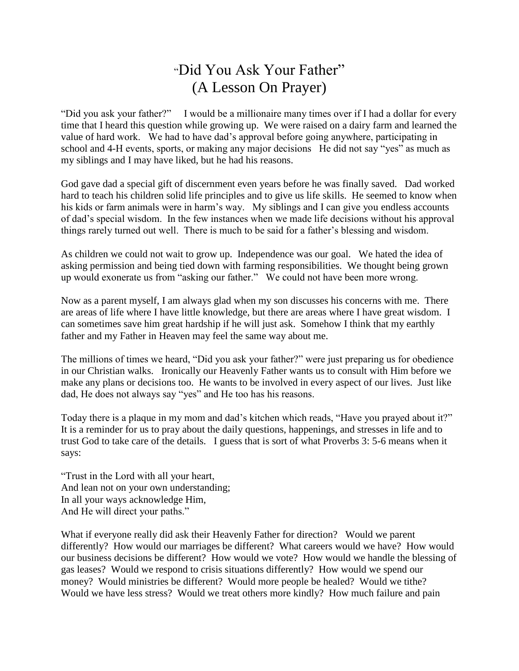## "Did You Ask Your Father" (A Lesson On Prayer)

"Did you ask your father?" I would be a millionaire many times over if I had a dollar for every time that I heard this question while growing up. We were raised on a dairy farm and learned the value of hard work. We had to have dad's approval before going anywhere, participating in school and 4-H events, sports, or making any major decisions He did not say "yes" as much as my siblings and I may have liked, but he had his reasons.

God gave dad a special gift of discernment even years before he was finally saved. Dad worked hard to teach his children solid life principles and to give us life skills. He seemed to know when his kids or farm animals were in harm's way. My siblings and I can give you endless accounts of dad's special wisdom. In the few instances when we made life decisions without his approval things rarely turned out well. There is much to be said for a father's blessing and wisdom.

As children we could not wait to grow up. Independence was our goal. We hated the idea of asking permission and being tied down with farming responsibilities. We thought being grown up would exonerate us from "asking our father." We could not have been more wrong.

Now as a parent myself, I am always glad when my son discusses his concerns with me. There are areas of life where I have little knowledge, but there are areas where I have great wisdom. I can sometimes save him great hardship if he will just ask. Somehow I think that my earthly father and my Father in Heaven may feel the same way about me.

The millions of times we heard, "Did you ask your father?" were just preparing us for obedience in our Christian walks. Ironically our Heavenly Father wants us to consult with Him before we make any plans or decisions too. He wants to be involved in every aspect of our lives. Just like dad, He does not always say "yes" and He too has his reasons.

Today there is a plaque in my mom and dad's kitchen which reads, "Have you prayed about it?" It is a reminder for us to pray about the daily questions, happenings, and stresses in life and to trust God to take care of the details. I guess that is sort of what Proverbs 3: 5-6 means when it says:

"Trust in the Lord with all your heart, And lean not on your own understanding; In all your ways acknowledge Him, And He will direct your paths."

What if everyone really did ask their Heavenly Father for direction? Would we parent differently? How would our marriages be different? What careers would we have? How would our business decisions be different? How would we vote? How would we handle the blessing of gas leases? Would we respond to crisis situations differently? How would we spend our money? Would ministries be different? Would more people be healed? Would we tithe? Would we have less stress? Would we treat others more kindly? How much failure and pain